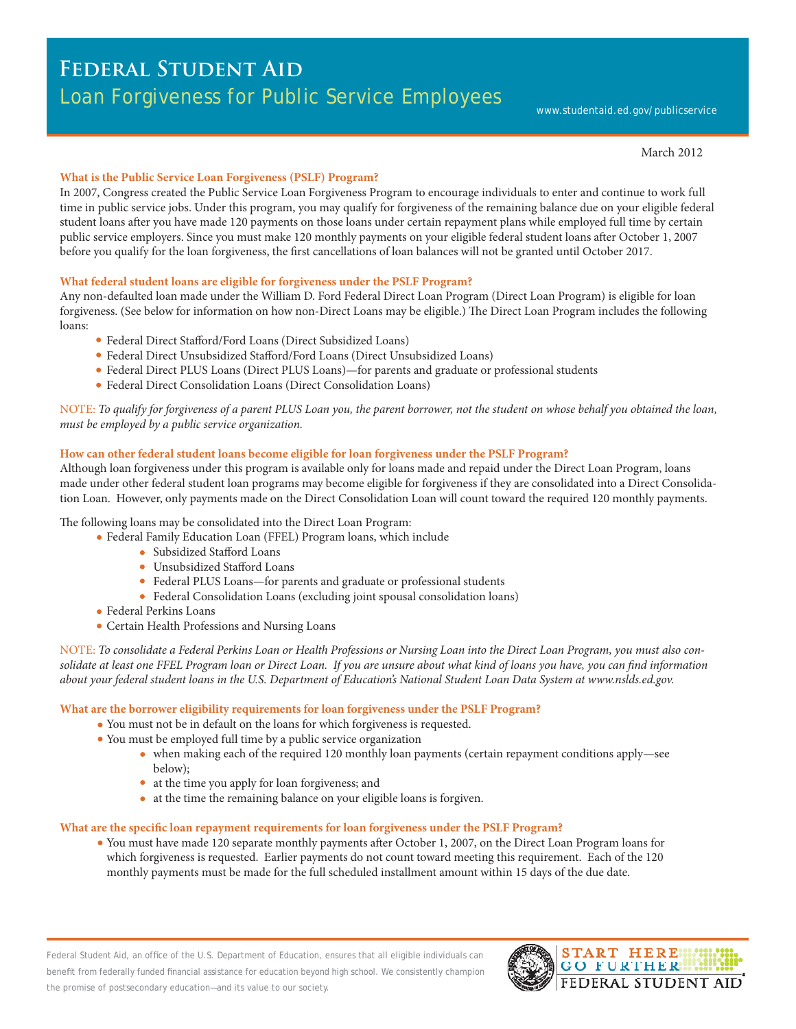# **Federal Student Aid**  Loan Forgiveness for Public Service Employees

#### March 2012

# **What is the Public Service Loan Forgiveness (PSLF) Program?**

In 2007, Congress created the Public Service Loan Forgiveness Program to encourage individuals to enter and continue to work full time in public service jobs. Under this program, you may qualify for forgiveness of the remaining balance due on your eligible federal student loans after you have made 120 payments on those loans under certain repayment plans while employed full time by certain public service employers. Since you must make 120 monthly payments on your eligible federal student loans after October 1, 2007 before you qualify for the loan forgiveness, the first cancellations of loan balances will not be granted until October 2017.

# **What federal student loans are eligible for forgiveness under the PSLF Program?**

Any non-defaulted loan made under the William D. Ford Federal Direct Loan Program (Direct Loan Program) is eligible for loan forgiveness. (See below for information on how non-Direct Loans may be eligible.) The Direct Loan Program includes the following loans:

- Federal Direct Stafford/Ford Loans (Direct Subsidized Loans)
- Federal Direct Unsubsidized Stafford/Ford Loans (Direct Unsubsidized Loans)
- Federal Direct PLUS Loans (Direct PLUS Loans)—for parents and graduate or professional students
- Federal Direct Consolidation Loans (Direct Consolidation Loans)

NOTE: *To qualify for forgiveness of a parent PLUS Loan you, the parent borrower, not the student on whose behalf you obtained the loan, must be employed by a public service organization.* 

# **How can other federal student loans become eligible for loan forgiveness under the PSLF Program?**

Although loan forgiveness under this program is available only for loans made and repaid under the Direct Loan Program, loans made under other federal student loan programs may become eligible for forgiveness if they are consolidated into a Direct Consolidation Loan. However, only payments made on the Direct Consolidation Loan will count toward the required 120 monthly payments.

The following loans may be consolidated into the Direct Loan Program:

- Federal Family Education Loan (FFEL) Program loans, which include
	- Subsidized Stafford Loans
		- Unsubsidized Stafford Loans
	- Federal PLUS Loans—for parents and graduate or professional students
	- Federal Consolidation Loans (excluding joint spousal consolidation loans)
- Federal Perkins Loans
- Certain Health Professions and Nursing Loans

NOTE: *To consolidate a Federal Perkins Loan or Health Professions or Nursing Loan into the Direct Loan Program, you must also con*solidate at least one FFEL Program loan or Direct Loan. If you are unsure about what kind of loans you have, you can find information *about your federal student loans in the U.S. Department of Education's National Student Loan Data System at www.nslds.ed.gov.* 

#### **What are the borrower eligibility requirements for loan forgiveness under the PSLF Program?**

- You must not be in default on the loans for which forgiveness is requested.
- You must be employed full time by a public service organization
	- when making each of the required 120 monthly loan payments (certain repayment conditions apply—see below);
	- at the time you apply for loan forgiveness; and
	- at the time the remaining balance on your eligible loans is forgiven.

#### **What are the specific loan repayment requirements for loan forgiveness under the PSLF Program?**

You must have made 120 separate monthly payments after October 1, 2007, on the Direct Loan Program loans for which forgiveness is requested. Earlier payments do not count toward meeting this requirement. Each of the 120 monthly payments must be made for the full scheduled installment amount within 15 days of the due date.